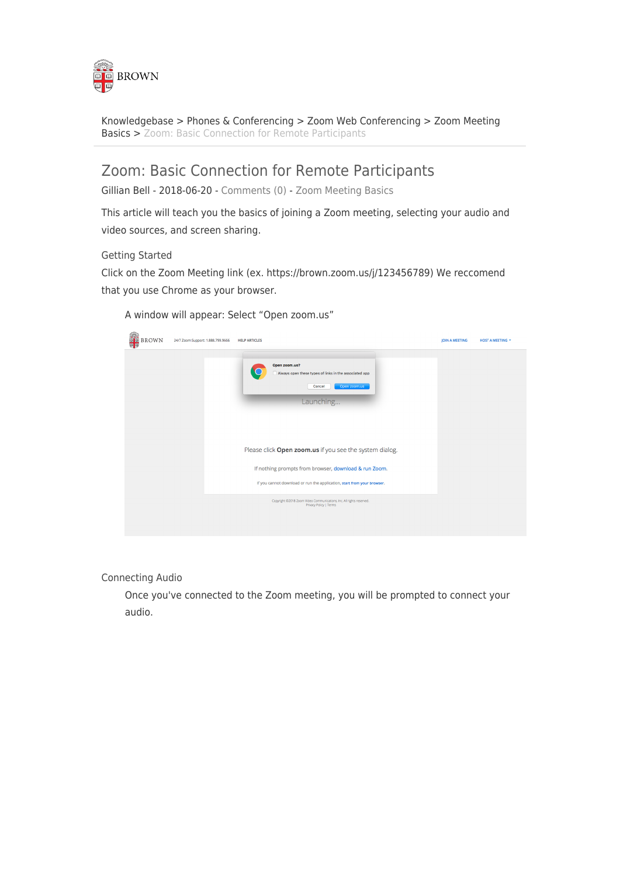

[Knowledgebase](https://ithelp.brown.edu/kb) > [Phones & Conferencing](https://ithelp.brown.edu/kb/phones-conferencing) > [Zoom Web Conferencing](https://ithelp.brown.edu/kb/zoom-web-conferencing) > [Zoom Meeting](https://ithelp.brown.edu/kb/zoom-meeting-basics) [Basics](https://ithelp.brown.edu/kb/zoom-meeting-basics) > [Zoom: Basic Connection for Remote Participants](https://ithelp.brown.edu/kb/articles/zoom-basic-connection-for-remote-participants)

## Zoom: Basic Connection for Remote Participants

Gillian Bell - 2018-06-20 - [Comments \(0\)](#page--1-0) - [Zoom Meeting Basics](https://ithelp.brown.edu/kb/zoom-meeting-basics)

This article will teach you the basics of joining a Zoom meeting, selecting your audio and video sources, and screen sharing.

Getting Started

Click on the Zoom Meeting link (ex. https://brown.zoom.us/j/123456789) We reccomend that you use Chrome as your browser.

A window will appear: Select "Open zoom.us"

| <b>OR BROWN</b><br>四四 | 24/7 Zoom Support: 1.888.799.9666 | <b>HELP ARTICLES</b>                                                                                           | <b>JOIN A MEETING</b> | <b>HOST A MEETING *</b> |
|-----------------------|-----------------------------------|----------------------------------------------------------------------------------------------------------------|-----------------------|-------------------------|
|                       |                                   | Open zoom.us?<br>Always open these types of links in the associated app<br>Open zoom.us<br>Cancel<br>Launching |                       |                         |
|                       |                                   | Please click Open zoom.us if you see the system dialog.                                                        |                       |                         |
|                       |                                   | If nothing prompts from browser, download & run Zoom.                                                          |                       |                         |
|                       |                                   | If you cannot download or run the application, start from your browser.                                        |                       |                         |
|                       |                                   | Copyright @2018 Zoom Video Communications, Inc. All rights reserved.<br>Privacy Policy   Terms                 |                       |                         |

Connecting Audio

Once you've connected to the Zoom meeting, you will be prompted to connect your audio.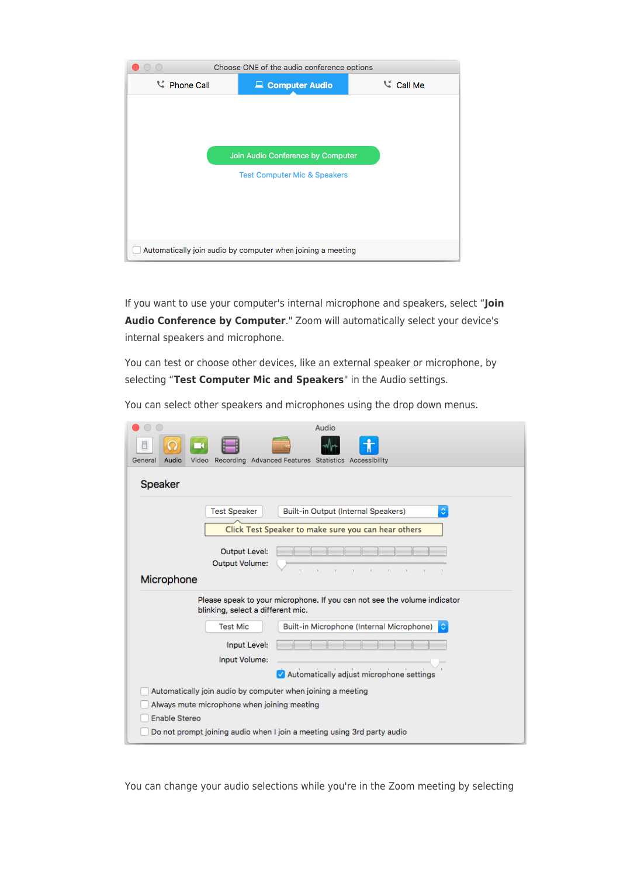

If you want to use your computer's internal microphone and speakers, select "**Join Audio Conference by Computer**." Zoom will automatically select your device's internal speakers and microphone.

You can test or choose other devices, like an external speaker or microphone, by selecting "**Test Computer Mic and Speakers**" in the Audio settings.

| You can select other speakers and microphones using the drop down menus. |  |  |
|--------------------------------------------------------------------------|--|--|
|                                                                          |  |  |

| Audio                                                                             |  |  |  |  |  |  |
|-----------------------------------------------------------------------------------|--|--|--|--|--|--|
|                                                                                   |  |  |  |  |  |  |
| Recording Advanced Features Statistics Accessibility<br>General<br>Audio<br>Video |  |  |  |  |  |  |
| Speaker                                                                           |  |  |  |  |  |  |
| <b>Test Speaker</b><br>Built-in Output (Internal Speakers)<br>٥                   |  |  |  |  |  |  |
| Click Test Speaker to make sure you can hear others                               |  |  |  |  |  |  |
| <b>Output Level:</b>                                                              |  |  |  |  |  |  |
| <b>Output Volume:</b><br>Microphone                                               |  |  |  |  |  |  |
| Please speak to your microphone. If you can not see the volume indicator          |  |  |  |  |  |  |
| blinking, select a different mic.                                                 |  |  |  |  |  |  |
| <b>Test Mic</b><br>Built-in Microphone (Internal Microphone)                      |  |  |  |  |  |  |
| Input Level:                                                                      |  |  |  |  |  |  |
| Input Volume:                                                                     |  |  |  |  |  |  |
| Automatically adjust microphone settings                                          |  |  |  |  |  |  |
| Automatically join audio by computer when joining a meeting                       |  |  |  |  |  |  |
| Always mute microphone when joining meeting                                       |  |  |  |  |  |  |
| Enable Stereo                                                                     |  |  |  |  |  |  |
| Do not prompt joining audio when I join a meeting using 3rd party audio           |  |  |  |  |  |  |

You can change your audio selections while you're in the Zoom meeting by selecting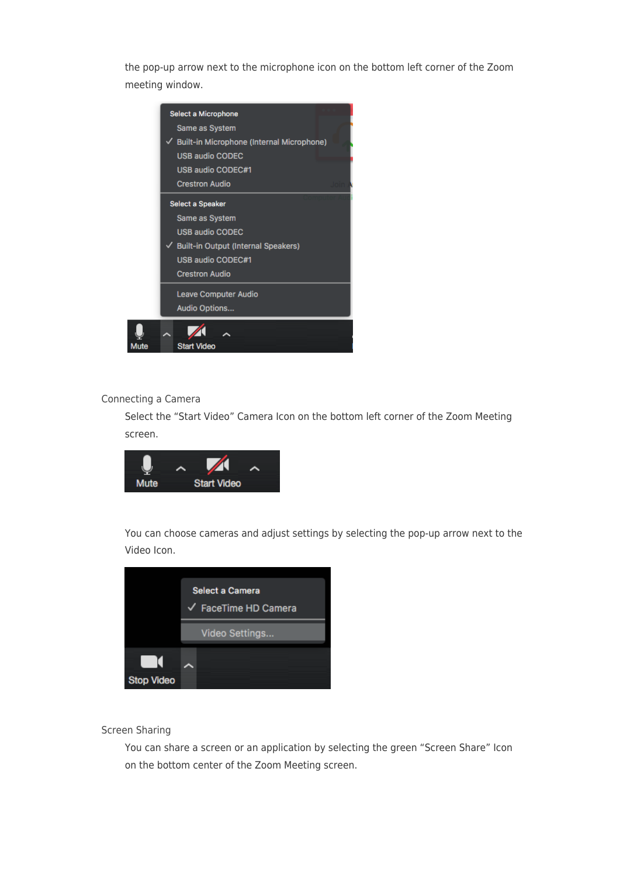the pop-up arrow next to the microphone icon on the bottom left corner of the Zoom meeting window.

|      | Select a Microphone<br>Same as System<br>Built-in Microphone (Internal Microphone)<br><b>USB audio CODEC</b> |  |  |  |
|------|--------------------------------------------------------------------------------------------------------------|--|--|--|
|      | <b>USB audio CODEC#1</b>                                                                                     |  |  |  |
|      | <b>Crestron Audio</b>                                                                                        |  |  |  |
|      | <b>Select a Speaker</b>                                                                                      |  |  |  |
|      | Same as System                                                                                               |  |  |  |
|      | <b>USB audio CODEC</b>                                                                                       |  |  |  |
|      | <b>Built-in Output (Internal Speakers)</b>                                                                   |  |  |  |
|      | USB audio CODEC#1                                                                                            |  |  |  |
|      | <b>Crestron Audio</b>                                                                                        |  |  |  |
|      | <b>Leave Computer Audio</b>                                                                                  |  |  |  |
|      | Audio Options                                                                                                |  |  |  |
| Mute | <b>Start Video</b>                                                                                           |  |  |  |

## Connecting a Camera

Select the "Start Video" Camera Icon on the bottom left corner of the Zoom Meeting screen.



You can choose cameras and adjust settings by selecting the pop-up arrow next to the Video Icon.



## Screen Sharing

You can share a screen or an application by selecting the green "Screen Share" Icon on the bottom center of the Zoom Meeting screen.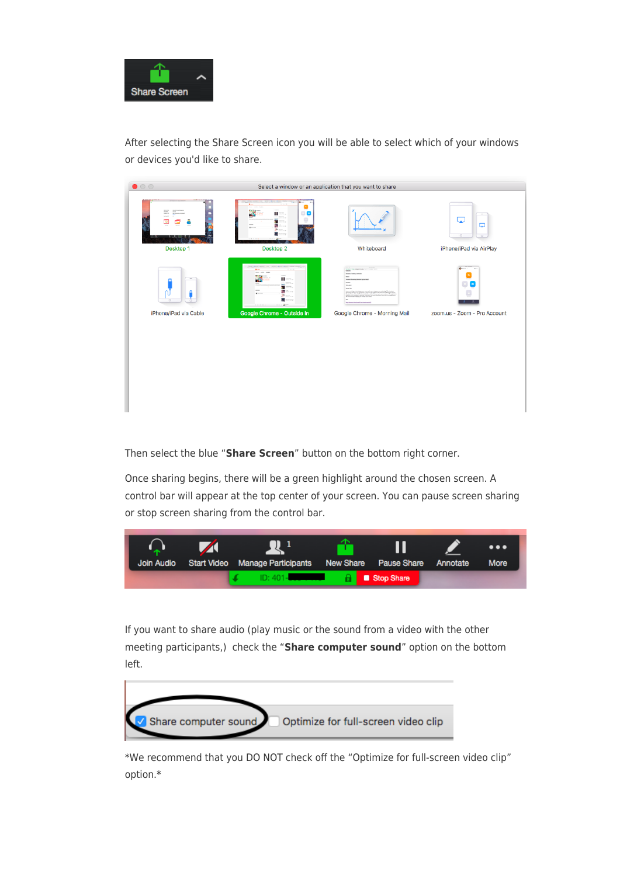

After selecting the Share Screen icon you will be able to select which of your windows or devices you'd like to share.

| $\bullet$ 00<br>Select a window or an application that you want to share |                                                                                                          |                                                                                                                       |                                                                                     |  |  |
|--------------------------------------------------------------------------|----------------------------------------------------------------------------------------------------------|-----------------------------------------------------------------------------------------------------------------------|-------------------------------------------------------------------------------------|--|--|
| ≣<br>Desktop 1                                                           | X<br>ш<br>۰<br>$\equiv$<br>c<br>e.<br>æ<br>$\mathbf{z}$<br>Desktop 2                                     | Whiteboard                                                                                                            | $\overline{\phantom{a}}$<br>⋤<br>Q<br>$\circ$<br>$\circ$<br>iPhone/iPad via AirPlay |  |  |
| $\circ$<br>iPhone/iPad via Cable                                         | <b>Source Control - Assista</b><br>X<br>$\mathbf{H} = -$<br>a.<br>$\cdots$<br>Google Chrome - Outside In | $\sim$<br><b>The Secretary</b><br><b>Stewin, Trains Int</b><br>ta ba<br><b>BULLER</b><br>Google Chrome - Morning Mail | $0 - 1$<br>$\sim$<br>$\blacktriangleright$<br>o<br>zoom.us - Zoom - Pro Account     |  |  |
|                                                                          |                                                                                                          |                                                                                                                       |                                                                                     |  |  |

Then select the blue "**Share Screen**" button on the bottom right corner.

Once sharing begins, there will be a green highlight around the chosen screen. A control bar will appear at the top center of your screen. You can pause screen sharing or stop screen sharing from the control bar.



If you want to share audio (play music or the sound from a video with the other meeting participants,) check the "**Share computer sound**" option on the bottom left.



\*We recommend that you DO NOT check off the "Optimize for full-screen video clip" option.\*